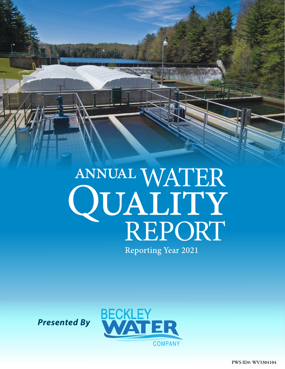

*Presented By*

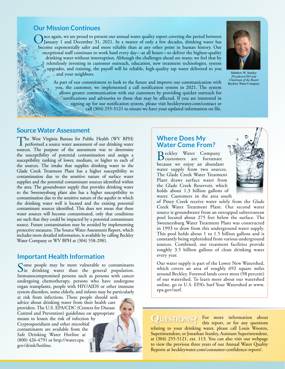## **Our Mission Continues**

Once again, we are proud to present our annual water quality report covering the period between<br>January 1 and December 31, 2021. In a matter of only a few decades, drinking water has<br>have a materially actor and many glishl become exponentially safer and more reliable than at any other point in human history. Our exceptional staff continues to work hard every day—at all hours—to deliver the highest-quality drinking water without interruption. Although the challenges ahead are many, we feel that by relentlessly investing in customer outreach, education, new treatment technologies, system upgrades, and training, the payoff will be reliable, high-quality tap water delivered to you and your neighbors.

> As part of our commitment to look to the future and improve our communication with you, the customer, we implemented a call notification system in 2021. The system allows greater communication with our customers by providing quicker outreach for notifications and advisories to those that may be affected. If you are interested in signing up for our notification system, please visit [beckleywater.com/contact](http://beckleywater.com/contact) or call (304) 255-5121 to ensure we have your updated information on file.



Matthew W. Stanley *President,CEO and Chairman of the Board* Beckley Water Company

### **Source Water Assessment**

The West Virginia Bureau for Public Health (WV BPH) performed a source water assessment of our drinking water sources. The purpose of the assessment was to determine the susceptibility of potential contamination and assign a susceptibility ranking of lower, medium, or higher to each of the sources. The intake that supplies drinking water to the Glade Creek Treatment Plant has a higher susceptibility to contamination due to the sensitive nature of surface water supplies and the potential contaminant sources identified within the area. The groundwater supply that provides drinking water to the Sweeneysburg plant also has a higher susceptibility to contamination due to the sensitive nature of the aquifer in which the drinking water well is located and the existing potential contaminant sources identified. This does not mean that these water sources will become contaminated, only that conditions are such that they could be impacted by a potential contaminant source. Future contamination may be avoided by implementing protective measures. The Source Water Assessment Report, which includes more detailed information, is available by calling Beckley Water Company or WV BPH at (304) 558-2981.

### **Important Health Information**

Some people may be more vulnerable to contaminants<br>in drinking water than the general population. Immunocompromised persons such as persons with cancer undergoing chemotherapy, persons who have undergone organ transplants, people with HIV/AIDS or other immune system disorders, some elderly, and infants may be particularly at risk from infections. These people should seek advice about drinking water from their health care providers. The U.S. EPA/CDC (Centers for Disease Control and Prevention) guidelines on appropriate means to lessen the risk of infection by Cryptosporidium and other microbial contaminants are available from the Safe Drinking Water Hotline at (800) 426-4791 or [http://water.epa.](http://water.epa.gov/drink/hotline) [gov/drink/hotline.](http://water.epa.gov/drink/hotline)

## **Where Does My Water Come From?**

Beckley Water Company customers are fortunate because we enjoy an abundant water supply from two sources. The Glade Creek Water Treatment Plant draws surface water from the Glade Creek Reservoir, which holds about 1.3 billion gallons of water. Customers in the area south



of Piney Creek receive water solely from the Glade Creek Water Treatment Plant. Our second water source is groundwater from an entrapped subterranean pool located about 275 feet below the surface. The Sweeneysburg Water Treatment Plant was constructed in 1993 to draw from this underground water supply. This pool holds about 1 to 1.5 billion gallons and is constantly being replenished from various underground sources. Combined, our treatment facilities provide roughly 3.5 billion gallons of clean drinking water every year.

Our water supply is part of the Lower New Watershed, which covers an area of roughly 692 square miles around Beckley. Forested lands cover most (98 percent) of our watershed. To learn more about our watershed online, go to U.S. EPA's Surf Your Watershed at [www.](http://www.epa.gov/surf) [epa.gov/surf.](http://www.epa.gov/surf)

QUESTIONS? For more information about<br>this report, or for any questions this report, or for any questions relating to your drinking water, please call Louis Wooten, Superintendent, or Jonathan Stanley, Assistant Superintendent, at (304) 255-5121, ext. 113. You can also visit our webpage to view the previous three years of our Annual Water Quality Reports at [beckleywater.com/consumer-confidence-report/](http://beckleywater.com/consumer-confidence-report/).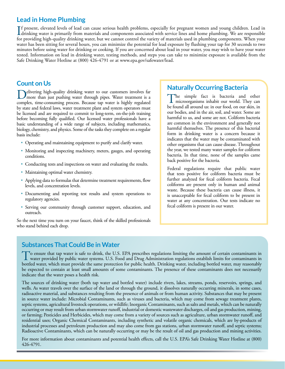# **Lead in Home Plumbing**

If present, elevated levels of lead can cause serious health problems, especially for pregnant women and young children. Lead in<br>drinking water is primarily from materials and components associated with service lines and h drinking water is primarily from materials and components associated with service lines and home plumbing. We are responsible for providing high-quality drinking water, but we cannot control the variety of materials used in plumbing components. When your water has been sitting for several hours, you can minimize the potential for lead exposure by flushing your tap for 30 seconds to two minutes before using water for drinking or cooking. If you are concerned about lead in your water, you may wish to have your water tested. Information on lead in drinking water, testing methods, and steps you can take to minimize exposure is available from the Safe Drinking Water Hotline at (800) 426-4791 or at [www.epa.gov/safewater/lead](http://www.epa.gov/safewater/lead).

## **Count on Us**

Delivering high-quality drinking water to our customers involves far more than just pushing water through pipes. Water treatment is a sequely time computing generate Beauty transmission is highly applied. complex, time-consuming process. Because tap water is highly regulated by state and federal laws, water treatment plant and system operators must be licensed and are required to commit to long-term, on-the-job training before becoming fully qualified. Our licensed water professionals have a basic understanding of a wide range of subjects, including mathematics, biology, chemistry, and physics. Some of the tasks they complete on a regular basis include:

- Operating and maintaining equipment to purify and clarify water.
- Monitoring and inspecting machinery, meters, gauges, and operating conditions.
- Conducting tests and inspections on water and evaluating the results.
- Maintaining optimal water chemistry.
- Applying data to formulas that determine treatment requirements, flow levels, and concentration levels.
- Documenting and reporting test results and system operations to regulatory agencies.
- Serving our community through customer support, education, and outreach.

So the next time you turn on your faucet, think of the skilled professionals who stand behind each drop.

## **Naturally Occurring Bacteria**

The simple fact is bacteria and other<br>microorganisms inhabit our world. They can be found all around us: in our food, on our skin, in our bodies, and in the air, soil, and water. Some are harmful to us, and some are not. Coliform bacteria are common in the environment and generally not harmful themselves. The presence of this bacterial form in drinking water is a concern because it indicates that the water may be contaminated with other organisms that can cause disease. Throughout the year, we tested many water samples for coliform bacteria. In that time, none of the samples came back positive for the bacteria.

Federal regulations require that public water that tests positive for coliform bacteria must be further analyzed for fecal coliform bacteria. Fecal coliforms are present only in human and animal waste. Because these bacteria can cause illness, it is unacceptable for fecal coliform to be present in water at any concentration. Our tests indicate no fecal coliform is present in our water.

### **Substances That Could Be in Water**

To ensure that tap water is safe to drink, the U.S. EPA prescribes regulations limiting the amount of certain contaminants in<br>water provided by public water systems. U.S. Food and Drug Administration regulations establish bottled water, which must provide the same protection for public health. Drinking water, including bottled water, may reasonably be expected to contain at least small amounts of some contaminants. The presence of these contaminants does not necessarily indicate that the water poses a health risk.

The sources of drinking water (both tap water and bottled water) include rivers, lakes, streams, ponds, reservoirs, springs, and wells. As water travels over the surface of the land or through the ground, it dissolves naturally occurring minerals, in some cases, radioactive material, and substances resulting from the presence of animals or from human activity. Substances that may be present in source water include: Microbial Contaminants, such as viruses and bacteria, which may come from sewage treatment plants, septic systems, agricultural livestock operations, or wildlife; Inorganic Contaminants, such as salts and metals, which can be naturally occurring or may result from urban stormwater runoff, industrial or domestic wastewater discharges, oil and gas production, mining, or farming; Pesticides and Herbicides, which may come from a variety of sources such as agriculture, urban stormwater runoff, and residential uses; Organic Chemical Contaminants, including synthetic and volatile organic chemicals, which are by-products of industrial processes and petroleum production and may also come from gas stations, urban stormwater runoff, and septic systems; Radioactive Contaminants, which can be naturally occurring or may be the result of oil and gas production and mining activities.

For more information about contaminants and potential health effects, call the U.S. EPA's Safe Drinking Water Hotline at (800) 426-4791.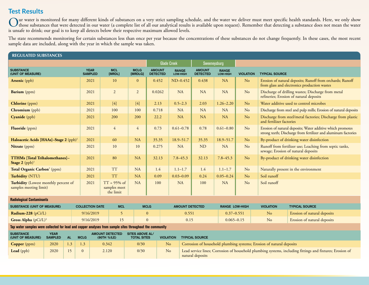# **Test Results**

Our water is monitored for many different kinds of substances on a very strict sampling schedule, and the water we deliver must meet specific health standards. Here, we only show<br>those substances that were detected in our is unsafe to drink; our goal is to keep all detects below their respective maximum allowed levels.

The state recommends monitoring for certain substances less than once per year because the concentrations of these substances do not change frequently. In these cases, the most recent sample data are included, along with the year in which the sample was taken.

| <b>REGULATED SUBSTANCES</b>                                                                              |  |              |                                                       |                                             |                                              |                                  |                        |                                 |                                                                                                                              |                                                                      |                  |                                                                                                                              |                                                                                                           |  |
|----------------------------------------------------------------------------------------------------------|--|--------------|-------------------------------------------------------|---------------------------------------------|----------------------------------------------|----------------------------------|------------------------|---------------------------------|------------------------------------------------------------------------------------------------------------------------------|----------------------------------------------------------------------|------------------|------------------------------------------------------------------------------------------------------------------------------|-----------------------------------------------------------------------------------------------------------|--|
|                                                                                                          |  |              |                                                       |                                             |                                              |                                  | <b>Glade Creek</b>     |                                 | Sweeneysburg                                                                                                                 |                                                                      |                  |                                                                                                                              |                                                                                                           |  |
| <b>SUBSTANCE</b><br>(UNIT OF MEASURE)                                                                    |  |              | <b>YEAR</b><br><b>MCL</b><br><b>SAMPLED</b><br>[MRDL] |                                             | <b>MCLG</b><br>[MRDLG]                       | <b>AMOUNT</b><br><b>DETECTED</b> |                        | <b>RANGE</b><br><b>LOW-HIGH</b> | <b>AMOUNT</b><br><b>DETECTED</b>                                                                                             | <b>RANGE</b><br>LOW-HIGH                                             | <b>VIOLATION</b> | <b>TYPICAL SOURCE</b>                                                                                                        |                                                                                                           |  |
| <b>Arsenic</b> (ppb)                                                                                     |  |              | 2021                                                  | 10                                          | $\mathbf{0}$                                 | 0.452                            |                        | ND-0.452                        | 0.438                                                                                                                        | <b>NA</b>                                                            | N <sub>o</sub>   |                                                                                                                              | Erosion of natural deposits; Runoff from orchards; Runoff<br>from glass and electronics production wastes |  |
| Barium (ppm)                                                                                             |  |              | 2021                                                  | 2                                           | $\overline{2}$                               | 0.0262                           |                        | <b>NA</b>                       | <b>NA</b>                                                                                                                    | <b>NA</b>                                                            | N <sub>o</sub>   |                                                                                                                              | Discharge of drilling wastes; Discharge from metal<br>refineries; Erosion of natural deposits             |  |
| Chlorine (ppm)                                                                                           |  |              | 2021                                                  | $[4]$                                       | $[4]$                                        | 2.13                             |                        | $0.5 - 2.3$                     | 2.03                                                                                                                         | $1.26 - 2.20$                                                        | N <sub>o</sub>   | Water additive used to control microbes                                                                                      |                                                                                                           |  |
| Chromium (ppb)                                                                                           |  |              |                                                       | 2021                                        | 100                                          | 100                              | 0.718                  |                                 | <b>NA</b>                                                                                                                    | <b>NA</b>                                                            | <b>NA</b>        | N <sub>o</sub>                                                                                                               | Discharge from steel and pulp mills; Erosion of natural deposits                                          |  |
| Cyanide (ppb)                                                                                            |  |              |                                                       | 2021                                        | 200                                          | 200                              | 22.2                   |                                 | <b>NA</b>                                                                                                                    | <b>NA</b>                                                            | <b>NA</b>        | N <sub>o</sub>                                                                                                               | Discharge from steel/metal factories; Discharge from plastic<br>and fertilizer factories                  |  |
| Fluoride (ppm)                                                                                           |  |              | 2021                                                  | $\overline{4}$                              | $\overline{4}$                               | 0.73                             |                        | $0.61 - 0.78$                   | 0.78                                                                                                                         | $0.61 - 0.80$                                                        | N <sub>o</sub>   | Erosion of natural deposits; Water additive which promotes<br>strong teeth; Discharge from fertilizer and aluminum factories |                                                                                                           |  |
| Haloacetic Acids [HAAs]-Stage 2 (ppb) <sup>1</sup>                                                       |  |              | 2021                                                  | 60                                          | <b>NA</b>                                    | 35.35                            |                        | 18.9-51.7                       | 35.35                                                                                                                        | 18.9-51.7                                                            | N <sub>o</sub>   | By-product of drinking water disinfection                                                                                    |                                                                                                           |  |
| Nitrate (ppm)                                                                                            |  |              | 2021                                                  | 10                                          | 10                                           | 0.275                            |                        | <b>NA</b>                       | <b>ND</b>                                                                                                                    | <b>NA</b>                                                            | No               | Runoff from fertilizer use; Leaching from septic tanks,<br>sewage; Erosion of natural deposits                               |                                                                                                           |  |
| TTHMs [Total Trihalomethanes]-<br>Stage $2$ (ppb) <sup>1</sup>                                           |  |              | 2021                                                  | 80                                          | <b>NA</b>                                    | 32.13                            |                        | $7.8 - 45.3$                    | 32.13                                                                                                                        | $7.8 - 45.3$                                                         | N <sub>o</sub>   |                                                                                                                              | By-product of drinking water disinfection                                                                 |  |
| Total Organic Carbon <sup>2</sup> (ppm)                                                                  |  |              | 2021                                                  | <b>TT</b>                                   | <b>NA</b>                                    | 1.4                              |                        | $1.1 - 1.7$                     | 1.4                                                                                                                          | $1.1 - 1.7$                                                          | N <sub>o</sub>   |                                                                                                                              | Naturally present in the environment                                                                      |  |
| Turbidity (NTU)                                                                                          |  |              | 2021                                                  | <b>TT</b>                                   | <b>NA</b>                                    | 0.09<br>$0.03 - 0.09$            |                        | 0.24                            | $0.05 - 0.24$                                                                                                                | N <sub>o</sub>                                                       | Soil runoff      |                                                                                                                              |                                                                                                           |  |
| Turbidity (Lowest monthly percent of<br>samples meeting limit)                                           |  |              | 2021                                                  | $TT = 95\%$ of<br>samples meet<br>the limit | <b>NA</b>                                    | 100                              |                        | <b>NA</b>                       | 100                                                                                                                          | <b>NA</b>                                                            | No               | Soil runoff                                                                                                                  |                                                                                                           |  |
| <b>Radiological Contaminants</b>                                                                         |  |              |                                                       |                                             |                                              |                                  |                        |                                 |                                                                                                                              |                                                                      |                  |                                                                                                                              |                                                                                                           |  |
| <b>SUBSTANCE (UNIT OF MEASURE)</b>                                                                       |  |              | <b>MCL</b><br><b>COLLECTION DATE</b>                  |                                             | <b>MCLG</b>                                  |                                  | <b>AMOUNT DETECTED</b> |                                 | <b>RANGE LOW-HIGH</b>                                                                                                        |                                                                      |                  | <b>VIOLATION</b>                                                                                                             | <b>TYPICAL SOURCE</b>                                                                                     |  |
| Radium-228 (pCi/L)                                                                                       |  |              | 9/16/2019                                             |                                             | $\mathbf{0}$                                 |                                  | 0.551                  |                                 |                                                                                                                              | $0.37 - 0.551$                                                       |                  | N <sub>o</sub>                                                                                                               | Erosion of natural deposits                                                                               |  |
| Gross Alpha $(pCi/L)^3$                                                                                  |  |              | 9/16/2019<br>15                                       |                                             | $\Omega$                                     |                                  | 0.15                   |                                 |                                                                                                                              | $0.065 - 0.15$                                                       |                  | No                                                                                                                           | Erosion of natural deposits                                                                               |  |
| Tap water samples were collected for lead and copper analyses from sample sites throughout the community |  |              |                                                       |                                             |                                              |                                  |                        |                                 |                                                                                                                              |                                                                      |                  |                                                                                                                              |                                                                                                           |  |
| <b>SUBSTANCE</b><br><b>YEAR</b><br><b>AL</b><br><b>SAMPLED</b><br>(UNIT OF MEASURE)                      |  | <b>MCLG</b>  | <b>AMOUNT DETECTED</b><br>(90TH %ILE)                 |                                             | <b>SITES ABOVE AL/</b><br><b>TOTAL SITES</b> |                                  | <b>VIOLATION</b>       | <b>TYPICAL SOURCE</b>           |                                                                                                                              |                                                                      |                  |                                                                                                                              |                                                                                                           |  |
| 2020<br>1.3<br><b>Copper</b> (ppm)                                                                       |  | 1.3          |                                                       | 0.342<br>0/30                               |                                              |                                  | N <sub>o</sub>         |                                 |                                                                                                                              | Corrosion of household plumbing systems; Erosion of natural deposits |                  |                                                                                                                              |                                                                                                           |  |
| Lead (ppb)<br>2020<br>15                                                                                 |  | $\mathbf{0}$ |                                                       | 2.120<br>0/30                               |                                              |                                  | N <sub>o</sub>         |                                 | Lead service lines; Corrosion of household plumbing systems, including fittings and fixtures; Erosion of<br>natural deposits |                                                                      |                  |                                                                                                                              |                                                                                                           |  |